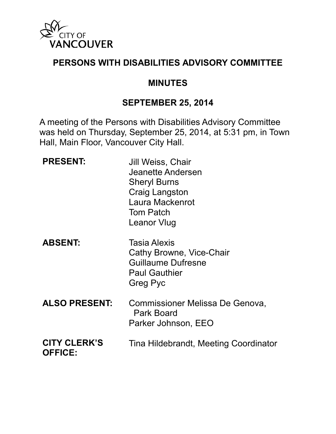

#### **PERSONS WITH DISABILITIES ADVISORY COMMITTEE**

#### **MINUTES**

#### **SEPTEMBER 25, 2014**

A meeting of the Persons with Disabilities Advisory Committee was held on Thursday, September 25, 2014, at 5:31 pm, in Town Hall, Main Floor, Vancouver City Hall.

| <b>PRESENT:</b>                       | Jill Weiss, Chair<br>Jeanette Andersen<br><b>Sheryl Burns</b><br><b>Craig Langston</b><br>Laura Mackenrot<br><b>Tom Patch</b><br>Leanor Vlug |
|---------------------------------------|----------------------------------------------------------------------------------------------------------------------------------------------|
| <b>ABSENT:</b>                        | <b>Tasia Alexis</b><br>Cathy Browne, Vice-Chair<br><b>Guillaume Dufresne</b><br><b>Paul Gauthier</b><br>Greg Pyc                             |
| <b>ALSO PRESENT:</b>                  | Commissioner Melissa De Genova,<br>Park Board<br>Parker Johnson, EEO                                                                         |
| <b>CITY CLERK'S</b><br><b>OFFICE:</b> | Tina Hildebrandt, Meeting Coordinator                                                                                                        |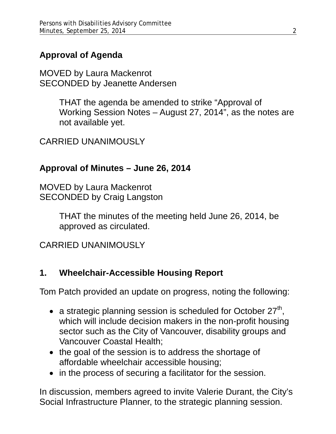# **Approval of Agenda**

MOVED by Laura Mackenrot SECONDED by Jeanette Andersen

> THAT the agenda be amended to strike "Approval of Working Session Notes – August 27, 2014", as the notes are not available yet.

CARRIED UNANIMOUSLY

## **Approval of Minutes – June 26, 2014**

MOVED by Laura Mackenrot SECONDED by Craig Langston

> THAT the minutes of the meeting held June 26, 2014, be approved as circulated.

CARRIED UNANIMOUSLY

## **1. Wheelchair-Accessible Housing Report**

Tom Patch provided an update on progress, noting the following:

- a strategic planning session is scheduled for October  $27<sup>th</sup>$ . which will include decision makers in the non-profit housing sector such as the City of Vancouver, disability groups and Vancouver Coastal Health;
- the goal of the session is to address the shortage of affordable wheelchair accessible housing;
- in the process of securing a facilitator for the session.

In discussion, members agreed to invite Valerie Durant, the City's Social Infrastructure Planner, to the strategic planning session.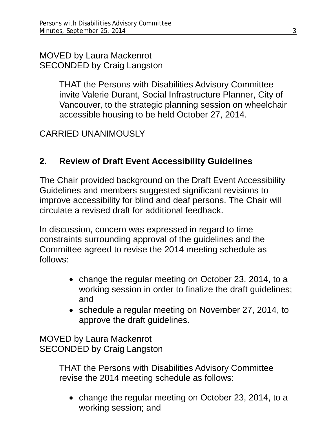MOVED by Laura Mackenrot SECONDED by Craig Langston

> THAT the Persons with Disabilities Advisory Committee invite Valerie Durant, Social Infrastructure Planner, City of Vancouver, to the strategic planning session on wheelchair accessible housing to be held October 27, 2014.

CARRIED UNANIMOUSLY

## **2. Review of Draft Event Accessibility Guidelines**

The Chair provided background on the Draft Event Accessibility Guidelines and members suggested significant revisions to improve accessibility for blind and deaf persons. The Chair will circulate a revised draft for additional feedback.

In discussion, concern was expressed in regard to time constraints surrounding approval of the guidelines and the Committee agreed to revise the 2014 meeting schedule as follows:

- change the regular meeting on October 23, 2014, to a working session in order to finalize the draft guidelines; and
- schedule a regular meeting on November 27, 2014, to approve the draft guidelines.

MOVED by Laura Mackenrot SECONDED by Craig Langston

> THAT the Persons with Disabilities Advisory Committee revise the 2014 meeting schedule as follows:

• change the regular meeting on October 23, 2014, to a working session; and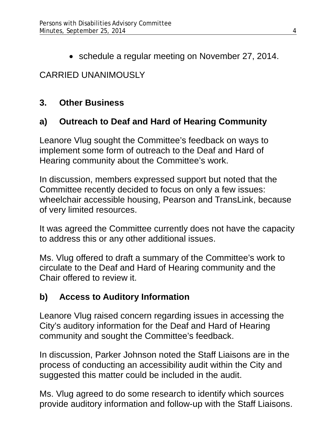• schedule a regular meeting on November 27, 2014.

# CARRIED UNANIMOUSLY

## **3. Other Business**

## **a) Outreach to Deaf and Hard of Hearing Community**

Leanore Vlug sought the Committee's feedback on ways to implement some form of outreach to the Deaf and Hard of Hearing community about the Committee's work.

In discussion, members expressed support but noted that the Committee recently decided to focus on only a few issues: wheelchair accessible housing, Pearson and TransLink, because of very limited resources.

It was agreed the Committee currently does not have the capacity to address this or any other additional issues.

Ms. Vlug offered to draft a summary of the Committee's work to circulate to the Deaf and Hard of Hearing community and the Chair offered to review it.

## **b) Access to Auditory Information**

Leanore Vlug raised concern regarding issues in accessing the City's auditory information for the Deaf and Hard of Hearing community and sought the Committee's feedback.

In discussion, Parker Johnson noted the Staff Liaisons are in the process of conducting an accessibility audit within the City and suggested this matter could be included in the audit.

Ms. Vlug agreed to do some research to identify which sources provide auditory information and follow-up with the Staff Liaisons.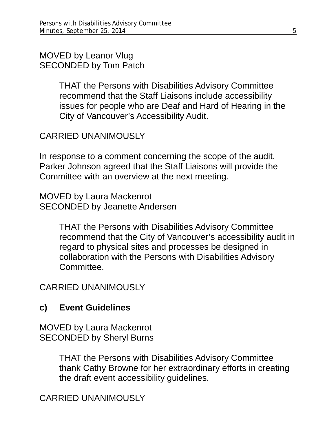MOVED by Leanor Vlug SECONDED by Tom Patch

> THAT the Persons with Disabilities Advisory Committee recommend that the Staff Liaisons include accessibility issues for people who are Deaf and Hard of Hearing in the City of Vancouver's Accessibility Audit.

### CARRIED UNANIMOUSLY

In response to a comment concerning the scope of the audit, Parker Johnson agreed that the Staff Liaisons will provide the Committee with an overview at the next meeting.

MOVED by Laura Mackenrot SECONDED by Jeanette Andersen

> THAT the Persons with Disabilities Advisory Committee recommend that the City of Vancouver's accessibility audit in regard to physical sites and processes be designed in collaboration with the Persons with Disabilities Advisory **Committee**

CARRIED UNANIMOUSLY

## **c) Event Guidelines**

MOVED by Laura Mackenrot SECONDED by Sheryl Burns

> THAT the Persons with Disabilities Advisory Committee thank Cathy Browne for her extraordinary efforts in creating the draft event accessibility guidelines.

CARRIED UNANIMOUSLY